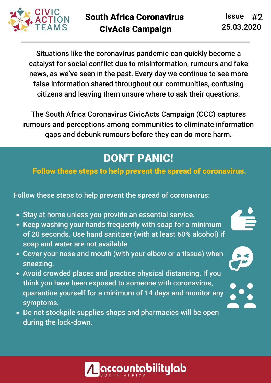

Situations like the coronavirus pandemic can quickly become a catalyst for social conflict due to misinformation, rumours and fake news, as we've seen in the past. Every day we continue to see more false information shared throughout our communities, confusing citizens and leaving them unsure where to ask their questions.

The South Africa Coronavirus CivicActs Campaign (CCC) captures rumours and perceptions among communities to eliminate information gaps and debunk rumours before they can do more harm.

## DON'T PANIC!

#### Follow these steps to help prevent the spread of coronavirus.

Follow these steps to help prevent the spread of coronavirus:

- Stay at home unless you provide an essential service.
- Keep washing your hands frequently with soap for a minimum of 20 seconds. Use hand sanitizer (with at least 60% alcohol) if soap and water are not available.
- Cover your nose and mouth (with your elbow or a tissue) when sneezing.
- Avoid crowded places and practice physical distancing. If you think you have been exposed to someone with coronavirus, quarantine yourself for a minimum of 14 days and monitor any symptoms.
- Do not stockpile supplies shops and pharmacies will be open during the lock-down.

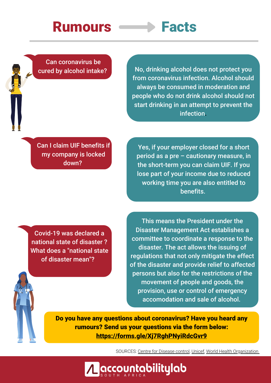# Rumours **Facts**

Can coronavirus be cured by alcohol intake?

No, drinking alcohol does not protect you from coronavirus infection. Alcohol should always be consumed in moderation and people who do not drink alcohol should not start drinking in an attempt to prevent the infection.

Can I claim UIF benefits if my company is locked down?

Yes, if your employer closed for a short period as a pre – cautionary measure, in the short-term you can claim UIF. If you lose part of your income due to reduced working time you are also entitled to benefits.

Covid-19 was declared a national state of disaster ? What does a "national state of disaster mean"?

This means the President under the Disaster Management Act establishes a committee to coordinate a response to the disaster. The act allows the issuing of regulations that not only mitigate the effect of the disaster and provide relief to affected persons but also for the restrictions of the movement of people and goods, the provision, use or control of emergency accomodation and sale of alcohol.

Do you have any questions about coronavirus? Have you heard any rumours? Send us your questions via the form below: https://forms.gle/Xj7RghPNyiRdcGvr9

<u>countabilitylab</u>

SOURCES: Centre for Disease control, Unicef, World Health Organization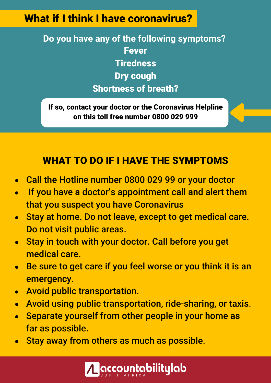### What if I think I have coronavirus?

**Do you have any of the following symptoms?** Fever **Tiredness** Dry cough Shortness of breath?

If so, contact your doctor or the Coronavirus Helpline on this toll free number 0800 029 999

#### WHAT TO DO IF I HAVE THE SYMPTOMS

- Call the Hotline number 0800 029 99 or your doctor  $\bullet$
- If you have a doctor's appointment call and alert them that you suspect you have Coronavirus
- Stay at home. Do not leave, except to get medical care.  $\bullet$ Do not visit public areas.
- Stay in touch with your doctor. Call before you get  $\bullet$ medical care.
- Be sure to get care if you feel worse or you think it is an  $\bullet$ emergency.
- Avoid public transportation.  $\bullet$
- Avoid using public transportation, ride-sharing, or taxis.  $\bullet$
- Separate yourself from other people in your home as  $\bullet$ far as possible.
- Stay away from others as much as possible.  $\bullet$